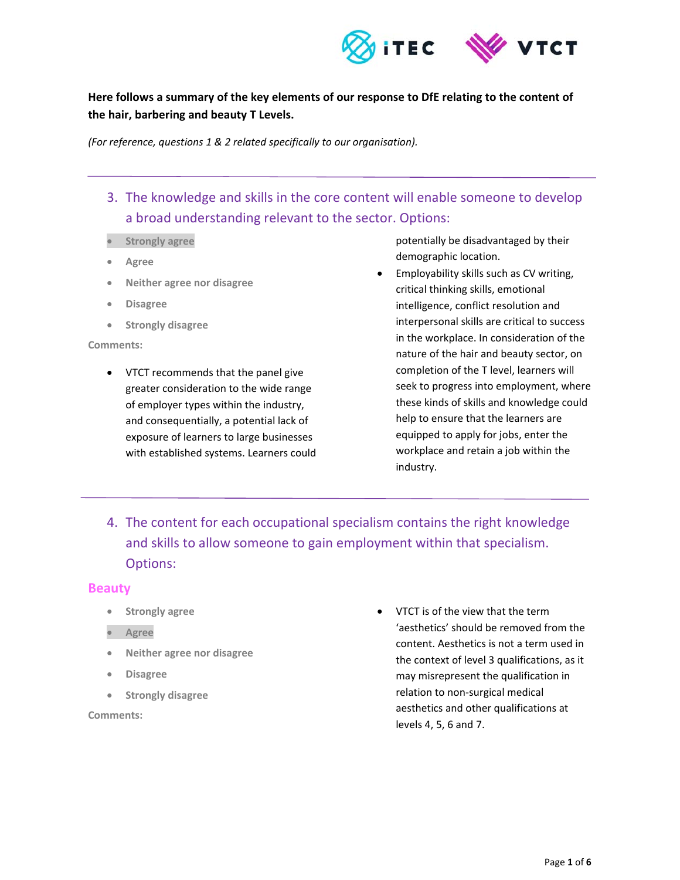

# **Here follows a summary of the key elements of our response to DfE relating to the content of the hair, barbering and beauty T Levels.**

*(For reference, questions 1 & 2 related specifically to our organisation).* 

- 3. The knowledge and skills in the core content will enable someone to develop a broad understanding relevant to the sector. Options:
- **strongly agree**
- **Agree**
- **Neither agree nor disagree**
- **Disagree**
- **•** Strongly disagree

#### **Comments:**

 VTCT recommends that the panel give greater consideration to the wide range of employer types within the industry, and consequentially, a potential lack of exposure of learners to large businesses with established systems. Learners could potentially be disadvantaged by their demographic location.

- Employability skills such as CV writing, critical thinking skills, emotional intelligence, conflict resolution and interpersonal skills are critical to success in the workplace. In consideration of the nature of the hair and beauty sector, on completion of the T level, learners will seek to progress into employment, where these kinds of skills and knowledge could help to ensure that the learners are equipped to apply for jobs, enter the workplace and retain a job within the industry.
- 4. The content for each occupational specialism contains the right knowledge and skills to allow someone to gain employment within that specialism. Options:

#### **Beauty**

- **Strongly agree**
- **Agree**
- **Neither agree nor disagree**
- **Disagree**
- **Strongly disagree**

**Comments:** 

 VTCT is of the view that the term 'aesthetics' should be removed from the content. Aesthetics is not a term used in the context of level 3 qualifications, as it may misrepresent the qualification in relation to non‐surgical medical aesthetics and other qualifications at levels 4, 5, 6 and 7.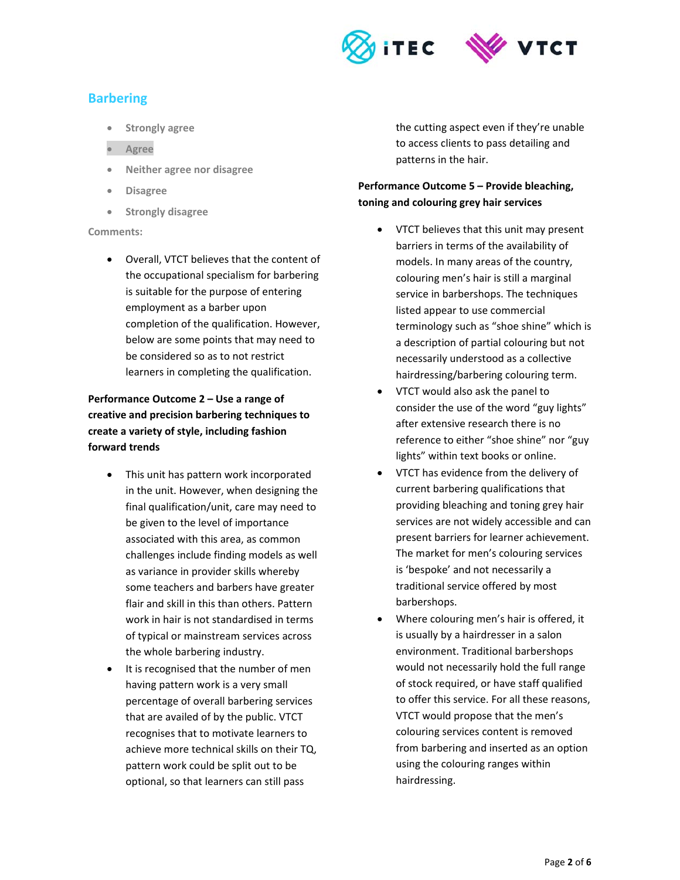

# **Barbering**

- **Strongly agree**
- **Agree**
- **Neither agree nor disagree**
- **Disagree**
- **Strongly disagree**

#### **Comments:**

 Overall, VTCT believes that the content of the occupational specialism for barbering is suitable for the purpose of entering employment as a barber upon completion of the qualification. However, below are some points that may need to be considered so as to not restrict learners in completing the qualification.

## **Performance Outcome 2 – Use a range of creative and precision barbering techniques to create a variety of style, including fashion forward trends**

- This unit has pattern work incorporated in the unit. However, when designing the final qualification/unit, care may need to be given to the level of importance associated with this area, as common challenges include finding models as well as variance in provider skills whereby some teachers and barbers have greater flair and skill in this than others. Pattern work in hair is not standardised in terms of typical or mainstream services across the whole barbering industry.
- It is recognised that the number of men having pattern work is a very small percentage of overall barbering services that are availed of by the public. VTCT recognises that to motivate learners to achieve more technical skills on their TQ, pattern work could be split out to be optional, so that learners can still pass

the cutting aspect even if they're unable to access clients to pass detailing and patterns in the hair.

## **Performance Outcome 5 – Provide bleaching, toning and colouring grey hair services**

- VTCT believes that this unit may present barriers in terms of the availability of models. In many areas of the country, colouring men's hair is still a marginal service in barbershops. The techniques listed appear to use commercial terminology such as "shoe shine" which is a description of partial colouring but not necessarily understood as a collective hairdressing/barbering colouring term.
- VTCT would also ask the panel to consider the use of the word "guy lights" after extensive research there is no reference to either "shoe shine" nor "guy lights" within text books or online.
- VTCT has evidence from the delivery of current barbering qualifications that providing bleaching and toning grey hair services are not widely accessible and can present barriers for learner achievement. The market for men's colouring services is 'bespoke' and not necessarily a traditional service offered by most barbershops.
- Where colouring men's hair is offered, it is usually by a hairdresser in a salon environment. Traditional barbershops would not necessarily hold the full range of stock required, or have staff qualified to offer this service. For all these reasons, VTCT would propose that the men's colouring services content is removed from barbering and inserted as an option using the colouring ranges within hairdressing.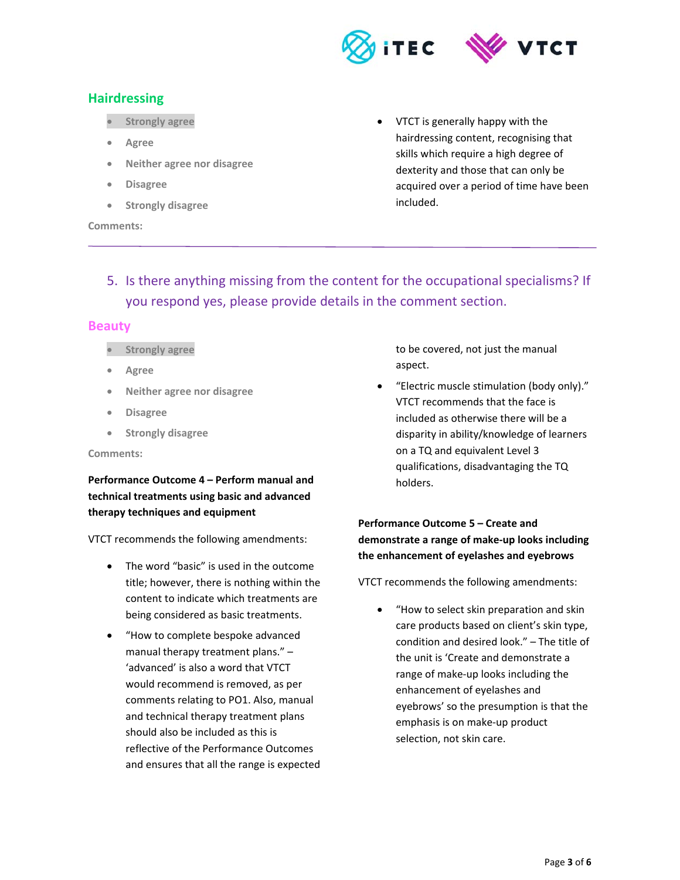

# **Hairdressing**

- **Strongly agree**
- **Agree**
- **Neither agree nor disagree**
- **Disagree**
- **Strongly disagree**

#### **Comments:**

- VTCT is generally happy with the hairdressing content, recognising that skills which require a high degree of dexterity and those that can only be acquired over a period of time have been included.
- 5. Is there anything missing from the content for the occupational specialisms? If you respond yes, please provide details in the comment section.

## **Beauty**

- **strongly agree**
- **Agree**
- **Neither agree nor disagree**
- **Disagree**
- **•** Strongly disagree

#### **Comments:**

**Performance Outcome 4 – Perform manual and technical treatments using basic and advanced therapy techniques and equipment** 

VTCT recommends the following amendments:

- The word "basic" is used in the outcome title; however, there is nothing within the content to indicate which treatments are being considered as basic treatments.
- "How to complete bespoke advanced manual therapy treatment plans." – 'advanced' is also a word that VTCT would recommend is removed, as per comments relating to PO1. Also, manual and technical therapy treatment plans should also be included as this is reflective of the Performance Outcomes and ensures that all the range is expected

to be covered, not just the manual aspect.

 "Electric muscle stimulation (body only)." VTCT recommends that the face is included as otherwise there will be a disparity in ability/knowledge of learners on a TQ and equivalent Level 3 qualifications, disadvantaging the TQ holders.

## **Performance Outcome 5 – Create and demonstrate a range of make‐up looks including the enhancement of eyelashes and eyebrows**

VTCT recommends the following amendments:

 "How to select skin preparation and skin care products based on client's skin type, condition and desired look." – The title of the unit is 'Create and demonstrate a range of make‐up looks including the enhancement of eyelashes and eyebrows' so the presumption is that the emphasis is on make‐up product selection, not skin care.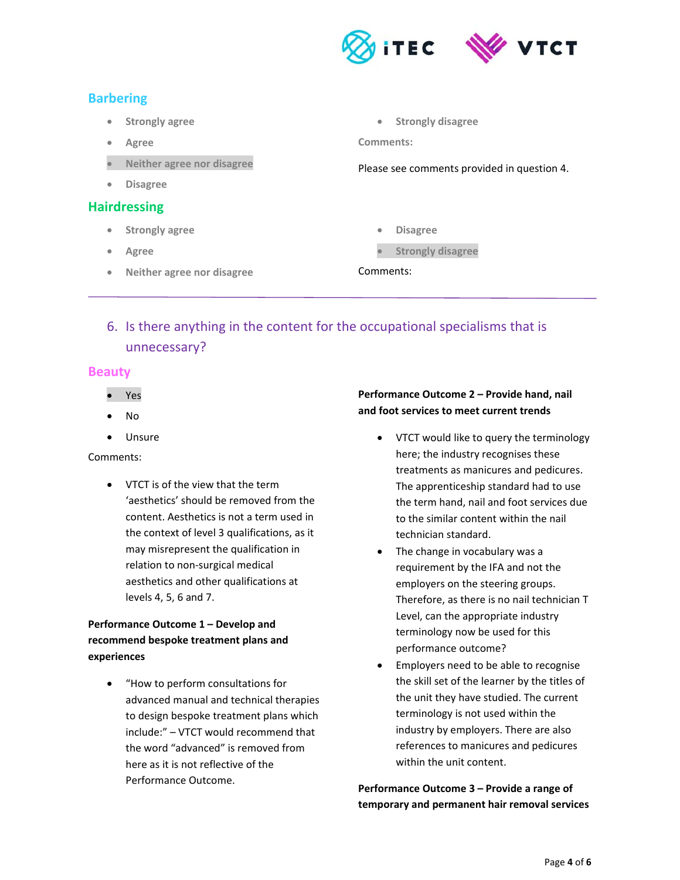

# **Barbering**

- **Strongly agree**
- **Agree**
- **Neither agree nor disagree**
- **Disagree**

## **Hairdressing**

- **Strongly agree**
- **Agree**
- **Neither agree nor disagree**

**Strongly disagree** 

**Comments:** 

Please see comments provided in question 4.

- **Disagree**
- **strongly disagree**

## Comments:

# 6. Is there anything in the content for the occupational specialisms that is unnecessary?

## **Beauty**

- Yes
- No
- Unsure

## Comments:

 VTCT is of the view that the term 'aesthetics' should be removed from the content. Aesthetics is not a term used in the context of level 3 qualifications, as it may misrepresent the qualification in relation to non‐surgical medical aesthetics and other qualifications at levels 4, 5, 6 and 7.

# **Performance Outcome 1 – Develop and recommend bespoke treatment plans and experiences**

 "How to perform consultations for advanced manual and technical therapies to design bespoke treatment plans which include:" – VTCT would recommend that the word "advanced" is removed from here as it is not reflective of the Performance Outcome.

## **Performance Outcome 2 – Provide hand, nail and foot services to meet current trends**

- VTCT would like to query the terminology here; the industry recognises these treatments as manicures and pedicures. The apprenticeship standard had to use the term hand, nail and foot services due to the similar content within the nail technician standard.
- The change in vocabulary was a requirement by the IFA and not the employers on the steering groups. Therefore, as there is no nail technician T Level, can the appropriate industry terminology now be used for this performance outcome?
- Employers need to be able to recognise the skill set of the learner by the titles of the unit they have studied. The current terminology is not used within the industry by employers. There are also references to manicures and pedicures within the unit content.

**Performance Outcome 3 – Provide a range of temporary and permanent hair removal services**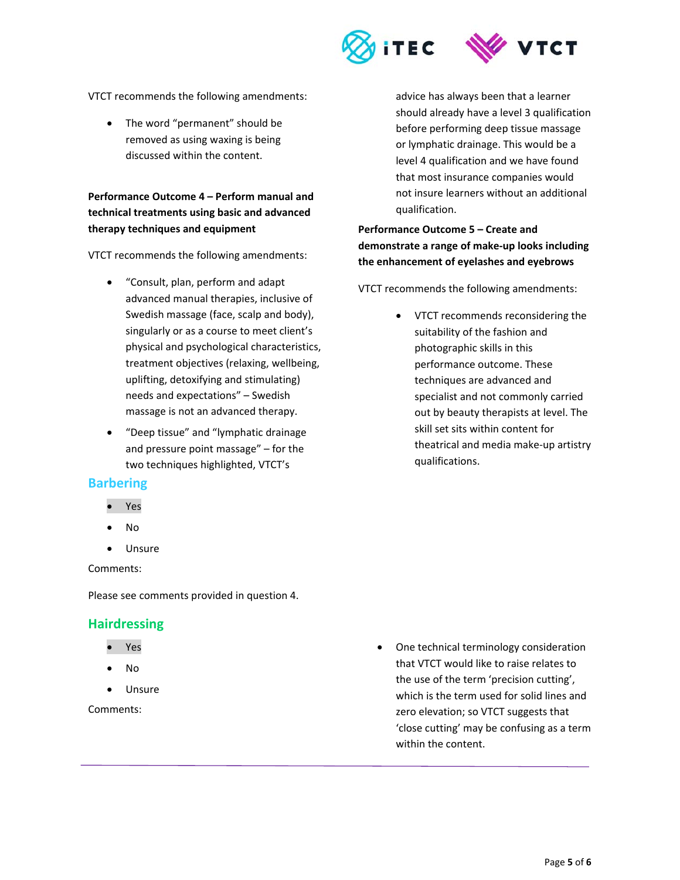

VTCT recommends the following amendments:

• The word "permanent" should be removed as using waxing is being discussed within the content.

**Performance Outcome 4 – Perform manual and technical treatments using basic and advanced therapy techniques and equipment** 

VTCT recommends the following amendments:

- "Consult, plan, perform and adapt advanced manual therapies, inclusive of Swedish massage (face, scalp and body), singularly or as a course to meet client's physical and psychological characteristics, treatment objectives (relaxing, wellbeing, uplifting, detoxifying and stimulating) needs and expectations" – Swedish massage is not an advanced therapy.
- "Deep tissue" and "lymphatic drainage and pressure point massage" – for the two techniques highlighted, VTCT's

## **Barbering**

- Yes
- No
- Unsure

Comments:

Please see comments provided in question 4.

#### **Hairdressing**

- Yes
- No
- Unsure

Comments:

advice has always been that a learner should already have a level 3 qualification before performing deep tissue massage or lymphatic drainage. This would be a level 4 qualification and we have found that most insurance companies would not insure learners without an additional qualification.

**Performance Outcome 5 – Create and demonstrate a range of make‐up looks including the enhancement of eyelashes and eyebrows** 

VTCT recommends the following amendments:

 VTCT recommends reconsidering the suitability of the fashion and photographic skills in this performance outcome. These techniques are advanced and specialist and not commonly carried out by beauty therapists at level. The skill set sits within content for theatrical and media make‐up artistry qualifications.

 One technical terminology consideration that VTCT would like to raise relates to the use of the term 'precision cutting', which is the term used for solid lines and zero elevation; so VTCT suggests that 'close cutting' may be confusing as a term within the content.